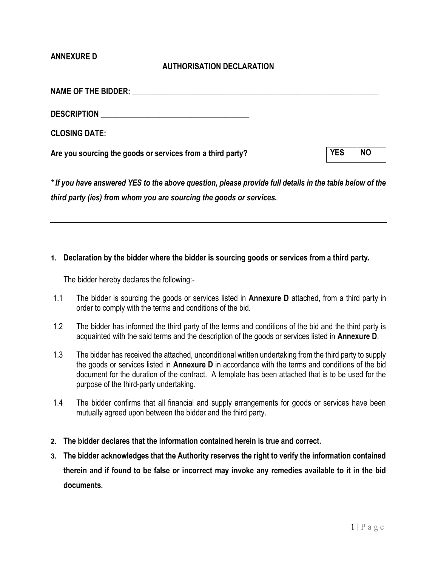### ANNEXURE D

# AUTHORISATION DECLARATION

| <b>NAME OF THE BIDDER:</b><br><u> 1980 - John Stein, Amerikaansk politiker (</u> † 1920) |            |           |
|------------------------------------------------------------------------------------------|------------|-----------|
| <b>DESCRIPTION</b>                                                                       |            |           |
| <b>CLOSING DATE:</b>                                                                     |            |           |
| Are you sourcing the goods or services from a third party?                               | <b>YES</b> | <b>NO</b> |
|                                                                                          |            |           |

\* If you have answered YES to the above question, please provide full details in the table below of the third party (ies) from whom you are sourcing the goods or services.

### 1. Declaration by the bidder where the bidder is sourcing goods or services from a third party.

The bidder hereby declares the following:-

- 1.1 The bidder is sourcing the goods or services listed in **Annexure D** attached, from a third party in order to comply with the terms and conditions of the bid.
- 1.2 The bidder has informed the third party of the terms and conditions of the bid and the third party is acquainted with the said terms and the description of the goods or services listed in Annexure D.
- 1.3 The bidder has received the attached, unconditional written undertaking from the third party to supply the goods or services listed in Annexure D in accordance with the terms and conditions of the bid document for the duration of the contract. A template has been attached that is to be used for the purpose of the third-party undertaking.
- 1.4 The bidder confirms that all financial and supply arrangements for goods or services have been mutually agreed upon between the bidder and the third party.
- 2. The bidder declares that the information contained herein is true and correct.
- 3. The bidder acknowledges that the Authority reserves the right to verify the information contained therein and if found to be false or incorrect may invoke any remedies available to it in the bid documents.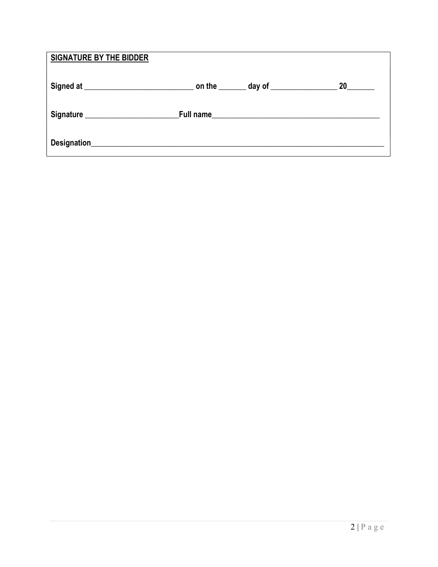| <b>SIGNATURE BY THE BIDDER</b> |  |    |
|--------------------------------|--|----|
|                                |  | 20 |
|                                |  |    |
|                                |  |    |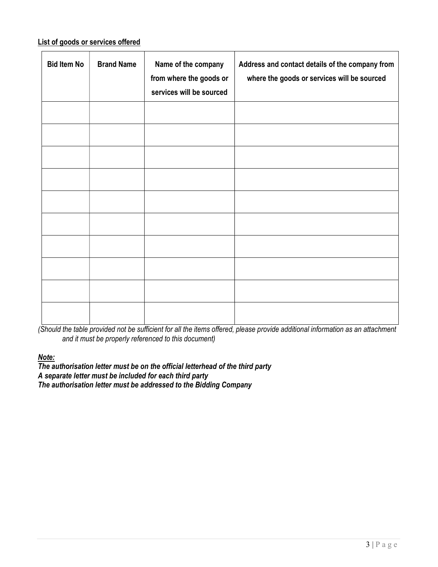# List of goods or services offered

| <b>Bid Item No</b> | <b>Brand Name</b> | Name of the company<br>from where the goods or<br>services will be sourced | Address and contact details of the company from<br>where the goods or services will be sourced |
|--------------------|-------------------|----------------------------------------------------------------------------|------------------------------------------------------------------------------------------------|
|                    |                   |                                                                            |                                                                                                |
|                    |                   |                                                                            |                                                                                                |
|                    |                   |                                                                            |                                                                                                |
|                    |                   |                                                                            |                                                                                                |
|                    |                   |                                                                            |                                                                                                |
|                    |                   |                                                                            |                                                                                                |
|                    |                   |                                                                            |                                                                                                |
|                    |                   |                                                                            |                                                                                                |
|                    |                   |                                                                            |                                                                                                |
|                    |                   |                                                                            |                                                                                                |

(Should the table provided not be sufficient for all the items offered, please provide additional information as an attachment and it must be properly referenced to this document)

Note:

The authorisation letter must be on the official letterhead of the third party A separate letter must be included for each third party The authorisation letter must be addressed to the Bidding Company